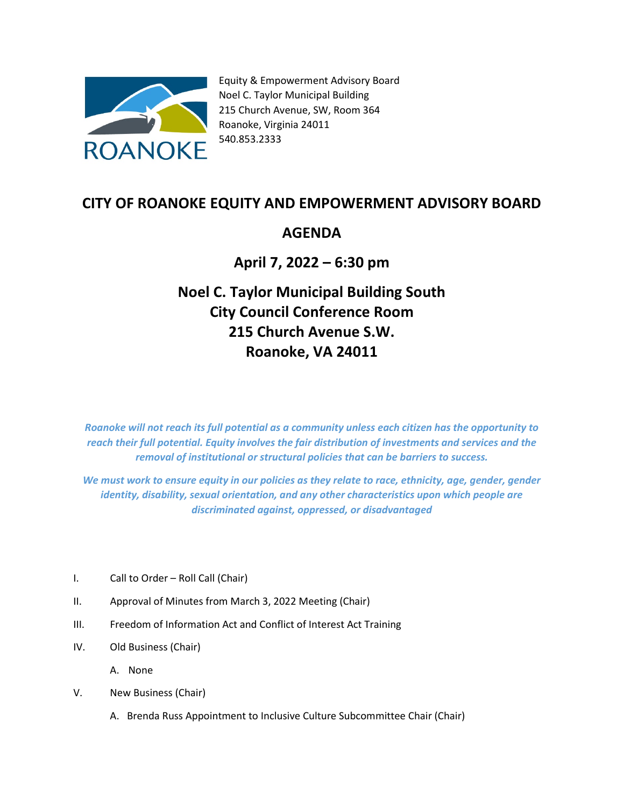

Equity & Empowerment Advisory Board Noel C. Taylor Municipal Building 215 Church Avenue, SW, Room 364 Roanoke, Virginia 24011 540.853.2333

## **CITY OF ROANOKE EQUITY AND EMPOWERMENT ADVISORY BOARD**

## **AGENDA**

## **April 7, 2022 – 6:30 pm**

## **Noel C. Taylor Municipal Building South City Council Conference Room 215 Church Avenue S.W. Roanoke, VA 24011**

*Roanoke will not reach its full potential as a community unless each citizen has the opportunity to reach their full potential. Equity involves the fair distribution of investments and services and the removal of institutional or structural policies that can be barriers to success.*

*We must work to ensure equity in our policies as they relate to race, ethnicity, age, gender, gender identity, disability, sexual orientation, and any other characteristics upon which people are discriminated against, oppressed, or disadvantaged*

- I. Call to Order Roll Call (Chair)
- II. Approval of Minutes from March 3, 2022 Meeting (Chair)
- III. Freedom of Information Act and Conflict of Interest Act Training
- IV. Old Business (Chair)

A. None

- V. New Business (Chair)
	- A. Brenda Russ Appointment to Inclusive Culture Subcommittee Chair (Chair)